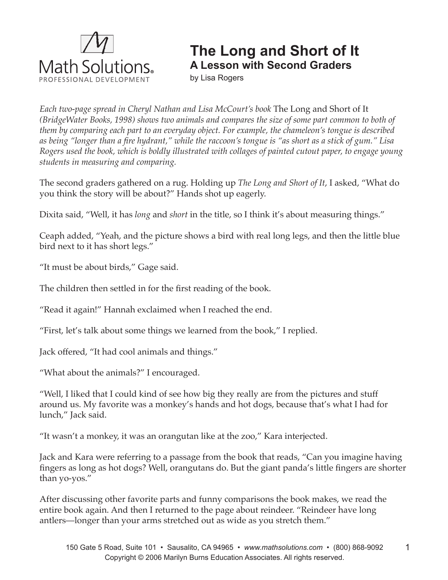

## **The Long and Short of It A Lesson with Second Graders**

by Lisa Rogers

*Each two-page spread in Cheryl Nathan and Lisa McCourt's book* The Long and Short of It *(BridgeWater Books, 1998) shows two animals and compares the size of some part common to both of them by comparing each part to an everyday object. For example, the chameleon's tongue is described as being "longer than a fire hydrant," while the raccoon's tongue is "as short as a stick of gum." Lisa Rogers used the book, which is boldly illustrated with collages of painted cutout paper, to engage young students in measuring and comparing.* 

The second graders gathered on a rug. Holding up *The Long and Short of It*, I asked, "What do you think the story will be about?" Hands shot up eagerly.

Dixita said, "Well, it has *long* and *short* in the title, so I think it's about measuring things."

Ceaph added, "Yeah, and the picture shows a bird with real long legs, and then the little blue bird next to it has short legs."

"It must be about birds," Gage said.

The children then settled in for the first reading of the book.

"Read it again!" Hannah exclaimed when I reached the end.

"First, let's talk about some things we learned from the book," I replied.

Jack offered, "It had cool animals and things."

"What about the animals?" I encouraged.

"Well, I liked that I could kind of see how big they really are from the pictures and stuff around us. My favorite was a monkey's hands and hot dogs, because that's what I had for lunch," Jack said.

"It wasn't a monkey, it was an orangutan like at the zoo," Kara interjected.

Jack and Kara were referring to a passage from the book that reads, "Can you imagine having fingers as long as hot dogs? Well, orangutans do. But the giant panda's little fingers are shorter than yo-yos."

After discussing other favorite parts and funny comparisons the book makes, we read the entire book again. And then I returned to the page about reindeer. "Reindeer have long antlers—longer than your arms stretched out as wide as you stretch them."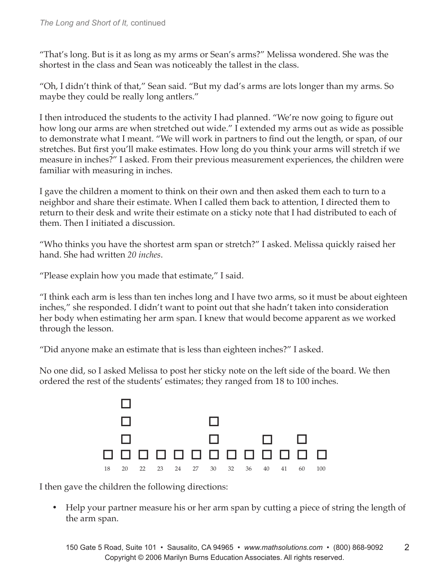"That's long. But is it as long as my arms or Sean's arms?" Melissa wondered. She was the shortest in the class and Sean was noticeably the tallest in the class.

"Oh, I didn't think of that," Sean said. "But my dad's arms are lots longer than my arms. So maybe they could be really long antlers."

I then introduced the students to the activity I had planned. "We're now going to figure out how long our arms are when stretched out wide." I extended my arms out as wide as possible to demonstrate what I meant. "We will work in partners to find out the length, or span, of our stretches. But first you'll make estimates. How long do you think your arms will stretch if we measure in inches?" I asked. From their previous measurement experiences, the children were familiar with measuring in inches.

I gave the children a moment to think on their own and then asked them each to turn to a neighbor and share their estimate. When I called them back to attention, I directed them to return to their desk and write their estimate on a sticky note that I had distributed to each of them. Then I initiated a discussion.

"Who thinks you have the shortest arm span or stretch?" I asked. Melissa quickly raised her hand. She had written *20 inches*.

"Please explain how you made that estimate," I said.

"I think each arm is less than ten inches long and I have two arms, so it must be about eighteen inches," she responded. I didn't want to point out that she hadn't taken into consideration her body when estimating her arm span. I knew that would become apparent as we worked through the lesson.

"Did anyone make an estimate that is less than eighteen inches?" I asked.

No one did, so I asked Melissa to post her sticky note on the left side of the board. We then ordered the rest of the students' estimates; they ranged from 18 to 100 inches.



I then gave the children the following directions:

• Help your partner measure his or her arm span by cutting a piece of string the length of the arm span.